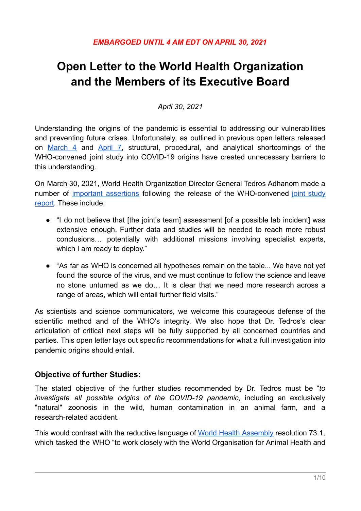# **Open Letter to the World Health Organization and the Members of its Executive Board**

*April 30, 2021*

Understanding the origins of the pandemic is essential to addressing our vulnerabilities and preventing future crises. Unfortunately, as outlined in previous open letters released on [March](https://www.nytimes.com/interactive/2021/03/04/us/covid-origins-letter.html) 4 and [April](https://www.nytimes.com/interactive/2021/04/07/science/virus-inquiries-pandemic-origins.html) 7, structural, procedural, and analytical shortcomings of the WHO-convened joint study into COVID-19 origins have created unnecessary barriers to this understanding.

On March 30, 2021, World Health Organization Director General Tedros Adhanom made a number of important [assertions](https://www.who.int/director-general/speeches/detail/who-director-general-s-remarks-at-the-member-state-briefing-on-the-report-of-the-international-team-studying-the-origins-of-sars-cov-2) following the release of the WHO-convened joint [study](https://www.who.int/publications/i/item/who-convened-global-study-of-origins-of-sars-cov-2-china-part) [report.](https://www.who.int/publications/i/item/who-convened-global-study-of-origins-of-sars-cov-2-china-part) These include:

- "I do not believe that [the joint's team] assessment [of a possible lab incident] was extensive enough. Further data and studies will be needed to reach more robust conclusions… potentially with additional missions involving specialist experts, which I am ready to deploy."
- "As far as WHO is concerned all hypotheses remain on the table... We have not yet found the source of the virus, and we must continue to follow the science and leave no stone unturned as we do… It is clear that we need more research across a range of areas, which will entail further field visits."

As scientists and science communicators, we welcome this courageous defense of the scientific method and of the WHO's integrity. We also hope that Dr. Tedros's clear articulation of critical next steps will be fully supported by all concerned countries and parties. This open letter lays out specific recommendations for what a full investigation into pandemic origins should entail.

#### **Objective of further Studies:**

The stated objective of the further studies recommended by Dr. Tedros must be "*to investigate all possible origins of the COVID-19 pandemic*, including an exclusively "natural" zoonosis in the wild, human contamination in an animal farm, and a research-related accident.

This would contrast with the reductive language of World Health [Assembly](https://apps.who.int/gb/ebwha/pdf_files/WHA73/A73_R1-en.pdf) resolution 73.1, which tasked the WHO "to work closely with the World Organisation for Animal Health and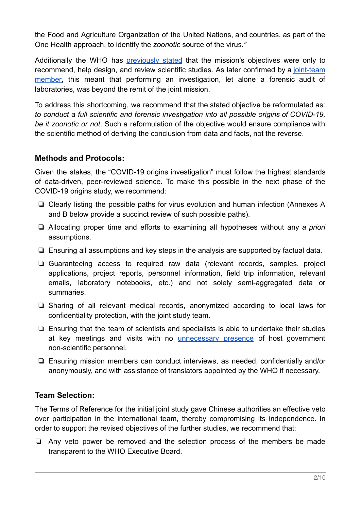the Food and Agriculture Organization of the United Nations, and countries, as part of the One Health approach, to identify the *zoonotic* source of the virus*."*

Additionally the WHO has **[previously](https://www.wsj.com/articles/who-china-hunt-covid-origins-11616004512) stated** that the mission's objectives were only to recommend, help design, and review scientific studies. As later confirmed by a [joint-team](https://www.nature.com/articles/d41586-021-00375-7) [member,](https://www.nature.com/articles/d41586-021-00375-7) this meant that performing an investigation, let alone a forensic audit of laboratories, was beyond the remit of the joint mission.

To address this shortcoming, we recommend that the stated objective be reformulated as: *to conduct a full scientific and forensic investigation into all possible origins of COVID-19, be it zoonotic or not*. Such a reformulation of the objective would ensure compliance with the scientific method of deriving the conclusion from data and facts, not the reverse.

#### **Methods and Protocols:**

Given the stakes, the "COVID-19 origins investigation" must follow the highest standards of data-driven, peer-reviewed science. To make this possible in the next phase of the COVID-19 origins study, we recommend:

- ❏ Clearly listing the possible paths for virus evolution and human infection (Annexes A and B below provide a succinct review of such possible paths).
- ❏ Allocating proper time and efforts to examining all hypotheses without any *a priori* assumptions.
- ❏ Ensuring all assumptions and key steps in the analysis are supported by factual data.
- ❏ Guaranteeing access to required raw data (relevant records, samples, project applications, project reports, personnel information, field trip information, relevant emails, laboratory notebooks, etc.) and not solely semi-aggregated data or summaries.
- ❏ Sharing of all relevant medical records, anonymized according to local laws for confidentiality protection, with the joint study team.
- ❏ Ensuring that the team of scientists and specialists is able to undertake their studies at key meetings and visits with no [unnecessary](https://www.wsj.com/articles/who-china-hunt-covid-origins-11616004512) presence of host government non-scientific personnel.
- ❏ Ensuring mission members can conduct interviews, as needed, confidentially and/or anonymously, and with assistance of translators appointed by the WHO if necessary.

#### **Team Selection:**

The Terms of Reference for the initial joint study gave Chinese authorities an effective veto over participation in the international team, thereby compromising its independence. In order to support the revised objectives of the further studies, we recommend that:

❏ Any veto power be removed and the selection process of the members be made transparent to the WHO Executive Board.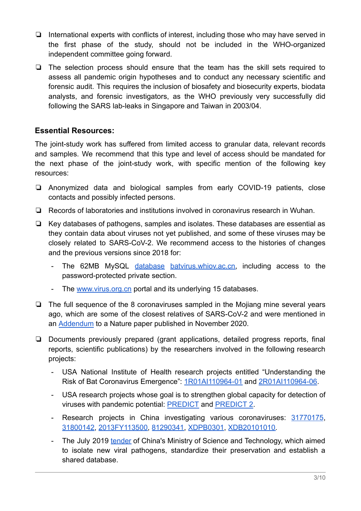- ❏ International experts with conflicts of interest, including those who may have served in the first phase of the study, should not be included in the WHO-organized independent committee going forward.
- ❏ The selection process should ensure that the team has the skill sets required to assess all pandemic origin hypotheses and to conduct any necessary scientific and forensic audit. This requires the inclusion of biosafety and biosecurity experts, biodata analysts, and forensic investigators, as the WHO previously very successfully did following the SARS lab-leaks in Singapore and Taiwan in 2003/04.

#### **Essential Resources:**

The joint-study work has suffered from limited access to granular data, relevant records and samples. We recommend that this type and level of access should be mandated for the next phase of the joint-study work, with specific mention of the following key resources:

- ❏ Anonymized data and biological samples from early COVID-19 patients, close contacts and possibly infected persons.
- ❏ Records of laboratories and institutions involved in coronavirus research in Wuhan.
- ❏ Key databases of pathogens, samples and isolates. These databases are essential as they contain data about viruses not yet published, and some of these viruses may be closely related to SARS-CoV-2. We recommend access to the histories of changes and the previous versions since 2018 for:
	- The 62MB MySQL [database](https://archive.is/jPPkB) [batvirus.whiov.ac.cn,](http://batvirus.whiov.ac.cn) including access to the password-protected private section.
	- The [www.virus.org.cn](http://www.virus.org.cn) portal and its underlying 15 databases.
- ❏ The full sequence of the 8 coronaviruses sampled in the Mojiang mine several years ago, which are some of the closest relatives of SARS-CoV-2 and were mentioned in an [Addendum](https://www.nature.com/articles/s41586-020-2951-z) to a Nature paper published in November 2020.
- ❏ Documents previously prepared (grant applications, detailed progress reports, final reports, scientific publications) by the researchers involved in the following research projects:
	- USA National Institute of Health research projects entitled "Understanding the Risk of Bat Coronavirus Emergence": [1R01AI110964-01](https://reporter.nih.gov/search/cVFEMwgD-UyuwQkDAvSL8Q/project-details/8674931) and [2R01AI110964-06.](https://projectreporter.nih.gov/project_info_description.cfm?aid=9819304&icde=49645421)
	- USA research projects whose goal is to strengthen global capacity for detection of viruses with pandemic potential: [PREDICT](https://ohi.vetmed.ucdavis.edu/programs-projects/predict-project) and [PREDICT](https://www.vetmed.ucdavis.edu/research/researchgrants/pandemic-threats) 2.
	- Research projects in China investigating various coronaviruses: [31770175](https://archive.is/g35C6), [31800142,](https://archive.is/shrm2) [2013FY](https://archive.is/pIwh4)[113500,](https://archive.is/OIC5C) [81290341,](https://www.ncbi.nlm.nih.gov/pmc/?term=%2281290341%22) [XDPB0301,](https://www.ncbi.nlm.nih.gov/pmc/?term=%22XDPB0301%22) [XDB20101010.](https://www.ncbi.nlm.nih.gov/pmc/?term=%22XDB29010101%22)
	- The July 2019 [tender](https://archive.is/HA9ql) of China's Ministry of Science and Technology, which aimed to isolate new viral pathogens, standardize their preservation and establish a shared database.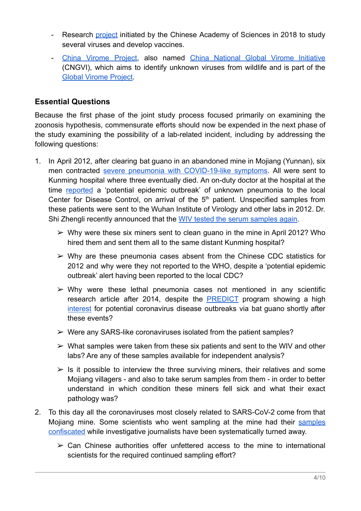- Research [project](https://archive.is/spmNg) initiated by the Chinese Academy of Sciences in 2018 to study several viruses and develop vaccines.
- China [Virome](https://www.chinadaily.com.cn/a/201805/22/WS5b035506a3103f6866ee9b83.html) Project, also named China [National](https://link.springer.com/article/10.1007/s10393-020-01471-2) Global Virome Initiative (CNGVI), which aims to identify unknown viruses from wildlife and is part of the [Global Virome Project](https://science.sciencemag.org/content/359/6378/872?ijkey=161c3e96de3cb0e2bfcbf435311b52b701aaf3dd&keytype2=tf_).

#### **Essential Questions**

Because the first phase of the joint study process focused primarily on examining the zoonosis hypothesis, commensurate efforts should now be expended in the next phase of the study examining the possibility of a lab-related incident, including by addressing the following questions:

- 1. In April 2012, after clearing bat guano in an abandoned mine in Mojiang (Yunnan), six men contracted severe pneumonia with [COVID-19-like](https://www.frontiersin.org/articles/10.3389/fpubh.2020.581569/full) symptoms. All were sent to Kunming hospital where three eventually died. An on-duty doctor at the hospital at the time [reported](https://drive.google.com/file/d/1d6GdDYtVrstULLSZmmqcu3NlLsYol2OA/view?usp=sharing) a 'potential epidemic outbreak' of unknown pneumonia to the local Center for Disease Control, on arrival of the  $5<sup>th</sup>$  patient. Unspecified samples from these patients were sent to the Wuhan Institute of Virology and other labs in 2012. Dr. Shi Zhengli recently announced that the WIV tested [the serum samples again](https://www.nature.com/articles/s41586-020-2951-z#content:~:text=Recently%2C%20we%20retested%20the%20samples).
	- $\triangleright$  Why were these six miners sent to clean guano in the mine in April 2012? Who hired them and sent them all to the same distant Kunming hospital?
	- $\triangleright$  Why are these pneumonia cases absent from the Chinese CDC statistics for 2012 and why were they not reported to the WHO, despite a 'potential epidemic outbreak' alert having been reported to the local CDC?
	- $\triangleright$  Why were these lethal pneumonia cases not mentioned in any scientific research article after 2014, despite the **[PREDICT](https://ohi.vetmed.ucdavis.edu/programs-projects/predict-project)** program showing a high [interest](https://static1.squarespace.com/static/5c7d60a711f7845f734d4a73/t/5e347bdf5acf4408944c9a39/1580497889152/EDI-Bat+Guano.pdf) for potential coronavirus disease outbreaks via bat guano shortly after these events?
	- $\triangleright$  Were any SARS-like coronaviruses isolated from the patient samples?
	- $\triangleright$  What samples were taken from these six patients and sent to the WIV and other labs? Are any of these samples available for independent analysis?
	- $\triangleright$  Is it possible to interview the three surviving miners, their relatives and some Mojiang villagers - and also to take serum samples from them - in order to better understand in which condition these miners fell sick and what their exact pathology was?
- 2. To this day all the coronaviruses most closely related to SARS-CoV-2 come from that Mojiang mine. Some scientists who went sampling at the mine had their [samples](https://apnews.com/article/united-nations-coronavirus-pandemic-china-only-on-ap-bats-24fbadc58cee3a40bca2ddf7a14d2955#google_ads_iframe_/15786418/APNews/site/article/leaderboard_0:~:text=A%20bat%20research%20team%20visiting%20recently%20managed%20to%20take%20samples%20but%20had%20them%20confiscated) [confiscated](https://apnews.com/article/united-nations-coronavirus-pandemic-china-only-on-ap-bats-24fbadc58cee3a40bca2ddf7a14d2955#google_ads_iframe_/15786418/APNews/site/article/leaderboard_0:~:text=A%20bat%20research%20team%20visiting%20recently%20managed%20to%20take%20samples%20but%20had%20them%20confiscated) while investigative journalists have been systematically turned away.
	- $\geq$  Can Chinese authorities offer unfettered access to the mine to international scientists for the required continued sampling effort?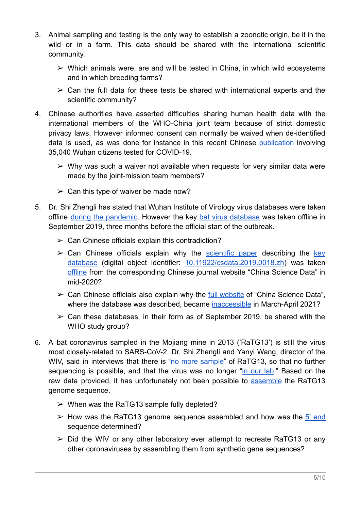- 3. Animal sampling and testing is the only way to establish a zoonotic origin, be it in the wild or in a farm. This data should be shared with the international scientific community.
	- $\triangleright$  Which animals were, are and will be tested in China, in which wild ecosystems and in which breeding farms?
	- $\geq$  Can the full data for these tests be shared with international experts and the scientific community?
- 4. Chinese authorities have asserted difficulties sharing human health data with the international members of the WHO-China joint team because of strict domestic privacy laws. However informed consent can normally be waived when de-identified data is used, as was done for instance in this recent Chinese [publication](https://jamanetwork.com/journals/jamanetworkopen/fullarticle/2772148) involving 35,040 Wuhan citizens tested for COVID-19.
	- $\triangleright$  Why was such a waiver not available when requests for very similar data were made by the joint-mission team members?
	- $\geq$  Can this type of waiver be made now?
- 5. Dr. Shi Zhengli has stated that Wuhan Institute of Virology virus databases were taken offline during the [pandemic.](https://twitter.com/tommy_cleary/status/1369689088790425602) However the key bat virus [database](https://archive.is/o/jPPkB/batvirus.whiov.ac.cn/) was taken offline in September 2019, three months before the official start of the outbreak.
	- $\geq$  Can Chinese officials explain this contradiction?
	- $\geq$  Can Chinese officials explain why the [scientific](https://archive.is/TIt2k) paper describing the [key](https://www.doi.org/10.11922/csdata.2019.0017.zh) [database](https://www.doi.org/10.11922/csdata.2019.0017.zh) (digital object identifier: [10.11922/csdata.2019.0018.zh](https://www.doi.org/10.11922/csdata.2019.0017.zh)) was taken [offline](http://www.csdata.org/p/308/) from the corresponding Chinese journal website "China Science Data" in mid-2020?
	- $\triangleright$  Can Chinese officials also explain why the <u>full [website](http://www.csdata.org)</u> of "China Science Data", where the database was described, became [inaccessible](https://web.archive.org/web/*/http://www.csdata.org/) in March-April 2021?
	- $\geq$  Can these databases, in their form as of September 2019, be shared with the WHO study group?
- 6. A bat coronavirus sampled in the Mojiang mine in 2013 ('RaTG13') is still the virus most closely-related to SARS-CoV-2. Dr. Shi Zhengli and Yanyi Wang, director of the WIV, said in interviews that there is "no more [sample"](https://www.sciencemag.org/sites/default/files/Shi%20Zhengli%20Q%26A.pdf) of RaTG13, so that no further sequencing is possible, and that the virus was no longer "in [our](https://news.cgtn.com/news/2020-05-23/Exclusive-with-head-of-Wuhan-Institute-of-Virology-Let-science-speak-QJeOjOZt4Y/index.html) lab." Based on the raw data provided, it has unfortunately not been possible to [assemble](https://virological.org/t/on-the-veracity-of-ratg13/551/9) the RaTG13 genome sequence.
	- $\triangleright$  When was the RaTG13 sample fully depleted?
	- $\triangleright$  How was the RaTG13 genome sequence assembled and how was the 5' [end](https://www.ncbi.nlm.nih.gov/nuccore/MN996532) sequence determined?
	- $\geq$  Did the WIV or any other laboratory ever attempt to recreate RaTG13 or any other coronaviruses by assembling them from synthetic gene sequences?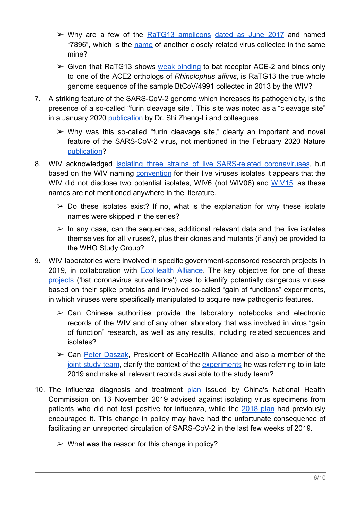- $\triangleright$  Why are a few of the RaTG13 [amplicons](https://www.ncbi.nlm.nih.gov/sra/SRX8357956) [dated](https://trace.ncbi.nlm.nih.gov/Traces/sra/?run=SRR11806578.28&display=reads) as June 2017 and named "7896", which is the [name](https://www.nature.com/articles/s41467-020-17687-3) of another closely related virus collected in the same mine?
- $\triangleright$  Given that RaTG13 shows weak [binding](https://journals.plos.org/plospathogens/article?id=10.1371/journal.ppat.1009501) to bat receptor ACE-2 and binds only to one of the ACE2 orthologs of *Rhinolophus affinis*, is RaTG13 the true whole genome sequence of the sample BtCoV/4991 collected in 2013 by the WIV?
- 7. A striking feature of the SARS-CoV-2 genome which increases its pathogenicity, is the presence of a so-called "furin cleavage site". This site was noted as a "cleavage site" in a January 2020 [publication](https://www.ncbi.nlm.nih.gov/pmc/articles/PMC7033706/) by Dr. Shi Zheng-Li and colleagues.
	- $\triangleright$  Why was this so-called "furin cleavage site," clearly an important and novel feature of the SARS-CoV-2 virus, not mentioned in the February 2020 Nature [publication?](https://www.nature.com/articles/s41586-020-2012-7)
- 8. WIV acknowledged isolating three strains of live SARS-related [coronaviruses](https://www.sciencemag.org/sites/default/files/Shi%20Zhengli%20Q&A.pdf), but based on the WIV naming [convention](https://www.microbiologyresearch.org/content/journal/jgv/10.1099/jgv.0.000739) for their live viruses isolates it appears that the WIV did not disclose two potential isolates, WIV6 (not WIV06) and [WIV15,](https://www.ncbi.nlm.nih.gov/pmc/?term=WIV15) as these names are not mentioned anywhere in the literature.
	- $\geq$  Do these isolates exist? If no, what is the explanation for why these isolate names were skipped in the series?
	- $\triangleright$  In any case, can the sequences, additional relevant data and the live isolates themselves for all viruses?, plus their clones and mutants (if any) be provided to the WHO Study Group?
- 9. WIV laboratories were involved in specific government-sponsored research projects in 2019, in collaboration with [EcoHealth](https://www.sciencemag.org/sites/default/files/Lauer.Daszak.NIH%20grant%20killed.partial%20email%20transcripts.April%202020.pdf) Alliance. The key objective for one of these [projects](https://projectreporter.nih.gov/project_info_description.cfm?aid=9819304&icde=49645421&ddparam=&ddvalue=&ddsub=&cr=1&csb=default&cs=ASC&pball=) ('bat coronavirus surveillance') was to identify potentially dangerous viruses based on their spike proteins and involved so-called "gain of functions" experiments, in which viruses were specifically manipulated to acquire new pathogenic features.
	- $\geq$  Can Chinese authorities provide the laboratory notebooks and electronic records of the WIV and of any other laboratory that was involved in virus "gain of function" research, as well as any results, including related sequences and isolates?
	- ➢ Can Peter [Daszak,](https://www.ecohealthalliance.org/personnel/dr-peter-daszak) President of EcoHealth Alliance and also a member of the joint [study](https://www.who.int/health-topics/coronavirus/origins-of-the-virus) team, clarify the context of the [experiments](https://youtu.be/IdYDL_RK--w?t=1790) he was referring to in late 2019 and make all relevant records available to the study team?
- 10. The influenza diagnosis and treatment [plan](http://archive.is/zup74)%20(http://archive.is/xOcDH#selection-801.2-801.65) issued by China's National Health Commission on 13 November 2019 advised against isolating virus specimens from patients who did not test positive for influenza, while the [2018](http://archive.is/YXvgH) plan had previously encouraged it. This change in policy may have had the unfortunate consequence of facilitating an unreported circulation of SARS-CoV-2 in the last few weeks of 2019.
	- $\triangleright$  What was the reason for this change in policy?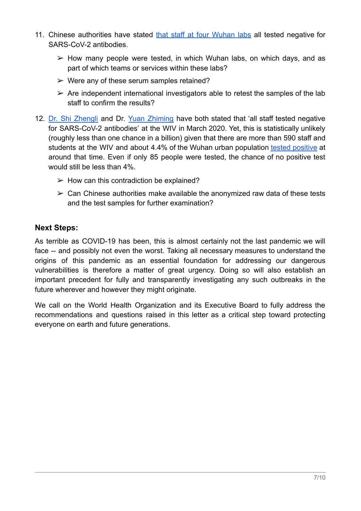- 11. Chinese authorities have stated that staff at four [Wuhan](https://www.sciencemag.org/news/2021/02/politics-was-always-room-who-mission-chief-reflects-china-trip-seeking-covid-19-s) labs all tested negative for SARS-CoV-2 antibodies.
	- $\triangleright$  How many people were tested, in which Wuhan labs, on which days, and as part of which teams or services within these labs?
	- $\triangleright$  Were any of these serum samples retained?
	- $\triangleright$  Are independent international investigators able to retest the samples of the lab staff to confirm the results?
- 12. Dr. Shi [Zhengli](https://www.sciencemag.org/sites/default/files/Shi%20Zhengli%20Q%26A.pdf) and Dr. Yuan [Zhiming](https://www.who.int/docs/default-source/coronaviruse/who-convened-global-study-of-origins-of-sars-cov-2-china-part-annexes.pdf?sfvrsn=3065bcd8_5) have both stated that 'all staff tested negative for SARS-CoV-2 antibodies' at the WIV in March 2020. Yet, this is statistically unlikely (roughly less than one chance in a billion) given that there are more than 590 staff and students at the WIV and about 4.4% of the Wuhan urban population tested [positive](https://t.co/HkGAPam6ny?amp=1) at around that time. Even if only 85 people were tested, the chance of no positive test would still be less than 4%.
	- $\triangleright$  How can this contradiction be explained?
	- $\geq$  Can Chinese authorities make available the anonymized raw data of these tests and the test samples for further examination?

#### **Next Steps:**

As terrible as COVID-19 has been, this is almost certainly not the last pandemic we will face -- and possibly not even the worst. Taking all necessary measures to understand the origins of this pandemic as an essential foundation for addressing our dangerous vulnerabilities is therefore a matter of great urgency. Doing so will also establish an important precedent for fully and transparently investigating any such outbreaks in the future wherever and however they might originate.

We call on the World Health Organization and its Executive Board to fully address the recommendations and questions raised in this letter as a critical step toward protecting everyone on earth and future generations.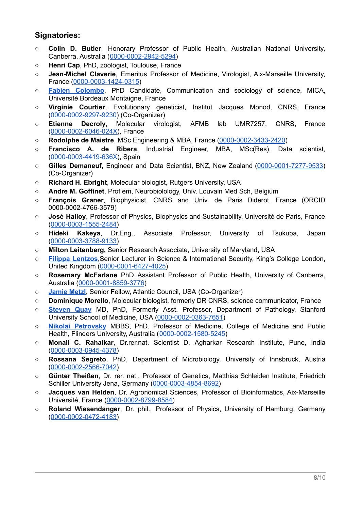#### **Signatories:**

- **Colin D. Butler**, Honorary Professor of Public Health, Australian National University, Canberra, Australia ([0000-0002-2942-5294](https://orcid.org/0000-0002-2942-5294))
- **Henri Cap**, PhD, zoologist, Toulouse, France
- **Jean-Michel Claverie**, Emeritus Professor of Medicine, Virologist, Aix-Marseille University, France [\(0000-0003-1424-0315\)](https://orcid.org/0000-0003-1424-0315)
- **Fabien [Colombo](https://mica.u-bordeaux-montaigne.fr/colombo-fabien/)**, PhD Candidate, Communication and sociology of science, MICA, Université Bordeaux Montaigne, France
- **Virginie Courtier**, Evolutionary geneticist, Institut Jacques Monod, CNRS, France ([0000-0002-9297-9230\)](https://orcid.org/0000-0002-9297-9230) (Co-Organizer)
- **Etienne Decroly**, Molecular virologist, AFMB lab UMR7257, CNRS, France ([0000-0002-6046-024X\)](https://orcid.org/0000-0002-6046-024X), France
- **Rodolphe de Maistre**, MSc Engineering & MBA, France [\(0000-0002-3433-2420](https://orcid.org/0000-0002-3433-2420))
- **Francisco A. de Ribera**, Industrial Engineer, MBA, MSc(Res), Data scientist, ([0000-0003-4419-636X\)](http://orcid.org/0000-0003-4419-636X), Spain
- **Gilles Demaneuf,** Engineer and Data Scientist, BNZ, New Zealand ([0000-0001-7277-9533\)](http://orcid.org/0000-0001-7277-9533) (Co-Organizer)
- **Richard H. Ebright**, Molecular biologist, Rutgers University, USA
- **Andre M. Goffinet**, Prof em, Neurobiolology, Univ. Louvain Med Sch, Belgium
- **François Graner**, Biophysicist, CNRS and Univ. de Paris Diderot, France (ORCID 0000-0002-4766-3579)
- **José Halloy**, Professor of Physics, Biophysics and Sustainability, Université de Paris, France ([0000-0003-1555-2484\)](https://orcid.org/0000-0003-1555-2484)
- **Hideki Kakeya**, Dr.Eng., Associate Professor, University of Tsukuba, Japan ([0000-0003-3788-](https://orcid.org/0000-0001-6427-4025)9133)
- **○ Milton Leitenberg,** Senior Research Associate, University of Maryland, USA
- **Filippa [Lentzos](http://www.filippalentzos.com)**,Senior Lecturer in Science & International Security, King's College London, United Kingdom [\(0000-0001-6427-4025\)](https://orcid.org/0000-0001-6427-4025)
- **Rosemary McFarlane** PhD Assistant Professor of Public Health, University of Canberra, Australia ([0000-0001-8859-3776](https://orcid.org/0000-0001-8859-3776))
- **[Jamie](https://jamiemetzl.com/) Metzl**, Senior Fellow, Atlantic Council, USA (Co-Organizer)
- **Dominique Morello**, Molecular biologist, formerly DR CNRS, science communicator, France
- **[Steven](https://drquay.com/) Quay** MD, PhD, Formerly Asst. Professor, Department of Pathology, Stanford University School of Medicine, USA ([0000-0002-0363-7651\)](https://orcid.org/0000-0002-0363-7651)
- **Nikolai [Petrovsky](https://www.flinders.edu.au/people/nikolai.petrovsky)** MBBS, PhD. Professor of Medicine, College of Medicine and Public Health, Flinders University, Australia ([0000-0002-1580-5245\)](https://orcid.org/0000-0002-1580-5245)
- **Monali C. Rahalkar**, Dr.rer.nat. Scientist D, Agharkar Research Institute, Pune, India ([0000-0003-0945-4378\)](https://orcid.org/0000-0003-0945-4378)
- **Rossana Segreto**, PhD, Department of Microbiology, University of Innsbruck, Austria ([0000-0002-2566-7042\)](https://orcid.org/0000-0002-2566-7042)
- **Günter Theißen**, Dr. rer. nat., Professor of Genetics, Matthias Schleiden Institute, Friedrich Schiller University Jena, Germany [\(0000-0003-4854-8692](https://orcid.org/0000-0003-4854-8692))
- **Jacques van Helden**, Dr. Agronomical Sciences, Professor of Bioinformatics, Aix-Marseille Université, France [\(0000-0002-8799-8584\)](https://orcid.org/0000-0002-8799-8584)
- **Roland Wiesendanger**, Dr. phil., Professor of Physics, University of Hamburg, Germany ([0000-0002-0472-4183\)](https://orcid.org/0000-0002-0472-4183)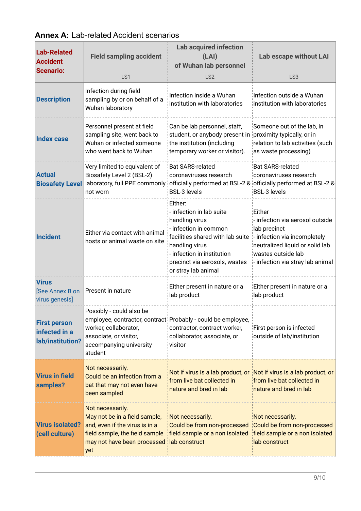| <b>Lab-Related</b><br><b>Accident</b><br><b>Scenario:</b> | <b>Field sampling accident</b><br>LS1                                                                                                                                                                           | <b>Lab acquired infection</b><br>(LAI)<br>of Wuhan lab personnel<br>LS <sub>2</sub>                                                                                                                                                                    | Lab escape without LAI<br>LS <sub>3</sub>                                                                                                             |  |
|-----------------------------------------------------------|-----------------------------------------------------------------------------------------------------------------------------------------------------------------------------------------------------------------|--------------------------------------------------------------------------------------------------------------------------------------------------------------------------------------------------------------------------------------------------------|-------------------------------------------------------------------------------------------------------------------------------------------------------|--|
| <b>Description</b>                                        | Infection during field<br>sampling by or on behalf of a<br>Wuhan laboratory                                                                                                                                     | Infection inside a Wuhan<br>institution with laboratories                                                                                                                                                                                              | Infection outside a Wuhan<br>institution with laboratories                                                                                            |  |
| <b>Index case</b>                                         | Personnel present at field<br>Can be lab personnel, staff,<br>sampling site, went back to<br>Wuhan or infected someone<br>the institution (including<br>who went back to Wuhan<br>temporary worker or visitor). |                                                                                                                                                                                                                                                        | Someone out of the lab, in<br>student, or anybody present in proximity typically, or in<br>relation to lab activities (such<br>as waste processing)   |  |
| <b>Actual</b><br><b>Biosafety Level</b>                   | Very limited to equivalent of<br>Biosafety Level 2 (BSL-2)<br>not worn                                                                                                                                          | <b>Bat SARS-related</b><br>coronaviruses research<br>laboratory, full PPE commonly officially performed at BSL-2 & officially performed at BSL-2 &<br><b>BSL-3 levels</b>                                                                              |                                                                                                                                                       |  |
| <b>Incident</b>                                           | Either via contact with animal<br>hosts or animal waste on site                                                                                                                                                 | Either:<br>- infection in lab suite<br>handling virus<br>- infection in common<br>facilities shared with lab suite :- infection via incompletely<br>handling virus<br>infection in institution<br>precinct via aerosols, wastes<br>or stray lab animal | :Either<br>- infection via aerosol outside<br>lab precinct<br>neutralized liquid or solid lab<br>wastes outside lab<br>infection via stray lab animal |  |
| <b>Virus</b><br>[See Annex B on<br>virus genesis]         | Present in nature                                                                                                                                                                                               | Either present in nature or a<br>lab product                                                                                                                                                                                                           | Either present in nature or a<br>lab product                                                                                                          |  |
| <b>First person</b><br>infected in a<br>lab/institution?  | Possibly - could also be<br>worker, collaborator,<br>associate, or visitor,<br>accompanying university<br>student                                                                                               | employee, contractor, contract Probably - could be employee,<br>contractor, contract worker,<br>collaborator, associate, or<br>visitor                                                                                                                 | First person is infected<br>outside of lab/institution                                                                                                |  |
| <b>Virus in field</b><br>samples?                         | Not necessarily.<br>Could be an infection from a<br>bat that may not even have<br>been sampled                                                                                                                  | Not if virus is a lab product, or Not if virus is a lab product, or<br>from live bat collected in<br>nature and bred in lab                                                                                                                            | from live bat collected in<br>inature and bred in lab                                                                                                 |  |
| <b>Virus isolated?</b><br>(cell culture)                  | Not necessarily.<br>May not be in a field sample,<br>and, even if the virus is in a<br>may not have been processed lab construct<br>yet                                                                         | Not necessarily.<br>Could be from non-processed Could be from non-processed<br>field sample, the field sample   field sample or a non isolated   field sample or a non isolated                                                                        | Not necessarily.<br>lab construct                                                                                                                     |  |

### **Annex A:** Lab-related Accident scenarios